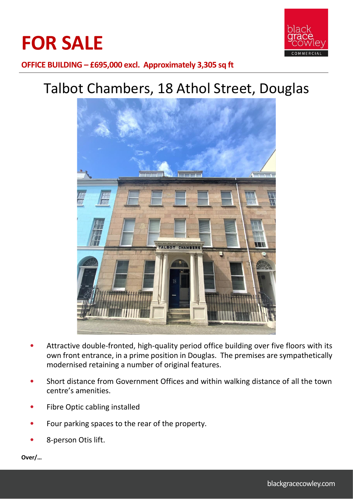



**OFFICE BUILDING – £695,000 excl. Approximately 3,305 sq ft**

# Talbot Chambers, 18 Athol Street, Douglas



- Attractive double-fronted, high-quality period office building over five floors with its own front entrance, in a prime position in Douglas. The premises are sympathetically modernised retaining a number of original features.
- Short distance from Government Offices and within walking distance of all the town centre's amenities.
- Fibre Optic cabling installed
- Four parking spaces to the rear of the property.
- 8-person Otis lift.

**Over/…**